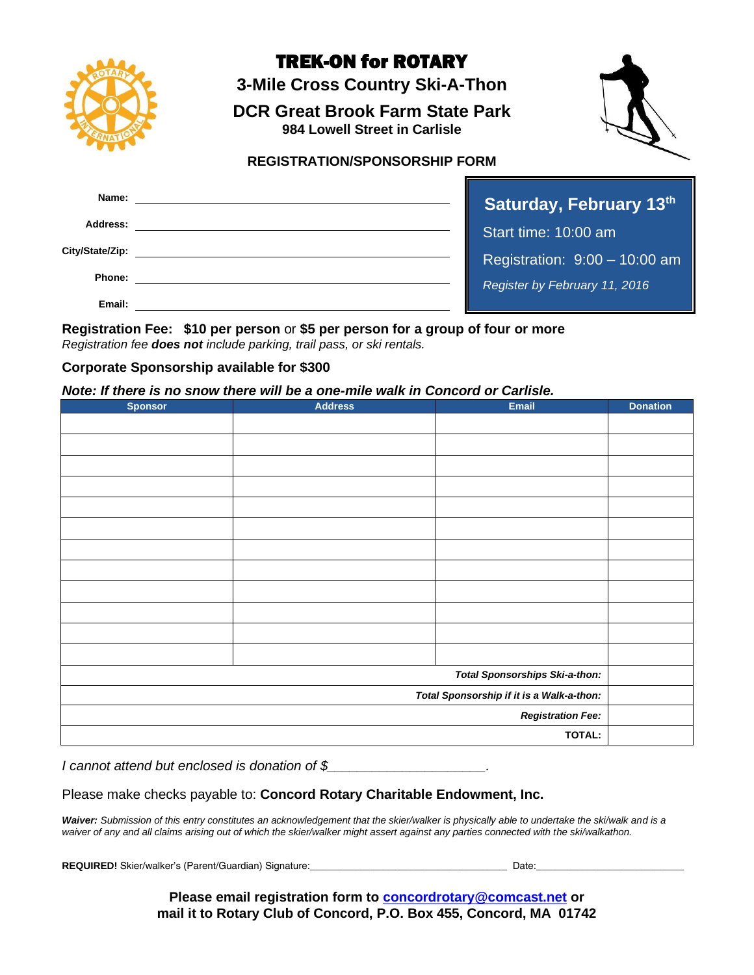

# TREK-ON for ROTARY

**3-Mile Cross Country Ski-A-Thon**

**DCR Great Brook Farm State Park 984 Lowell Street in Carlisle**



**REGISTRATION/SPONSORSHIP FORM**

| Name:           | <b>Saturday, Fek</b>       |
|-----------------|----------------------------|
| Address:        | Start time: 10:00          |
| City/State/Zip: | Registration: 9:0          |
| Phone:          | <b>Register by Februar</b> |
| Email:          |                            |

**Druary 13<sup>th</sup>** am  $0 - 10:00$  am *Register by February 11, 2016*

**Registration Fee: \$10 per person** or **\$5 per person for a group of four or more** *Registration fee does not include parking, trail pass, or ski rentals.*

#### **Corporate Sponsorship available for \$300**

*Note: If there is no snow there will be a one-mile walk in Concord or Carlisle.*

| <b>Sponsor</b>                            | <b>Address</b> | Email | <b>Donation</b> |
|-------------------------------------------|----------------|-------|-----------------|
|                                           |                |       |                 |
|                                           |                |       |                 |
|                                           |                |       |                 |
|                                           |                |       |                 |
|                                           |                |       |                 |
|                                           |                |       |                 |
|                                           |                |       |                 |
|                                           |                |       |                 |
|                                           |                |       |                 |
|                                           |                |       |                 |
|                                           |                |       |                 |
|                                           |                |       |                 |
| <b>Total Sponsorships Ski-a-thon:</b>     |                |       |                 |
| Total Sponsorship if it is a Walk-a-thon: |                |       |                 |
| <b>Registration Fee:</b>                  |                |       |                 |
| TOTAL:                                    |                |       |                 |

#### *I cannot attend but enclosed is donation of \$\_\_\_\_\_\_\_\_\_\_\_\_\_\_\_\_\_\_\_\_\_.*

#### Please make checks payable to: **Concord Rotary Charitable Endowment, Inc.**

*Waiver: Submission of this entry constitutes an acknowledgement that the skier/walker is physically able to undertake the ski/walk and is a waiver of any and all claims arising out of which the skier/walker might assert against any parties connected with the ski/walkathon.*

**REQUIRED!** Skier/walker's (Parent/Guardian) Signature:\_\_\_\_\_\_\_\_\_\_\_\_\_\_\_\_\_\_\_\_\_\_\_\_\_\_\_\_\_\_\_\_\_\_\_\_ Date:\_\_\_\_\_\_\_\_\_\_\_\_\_\_\_\_\_\_\_\_\_\_\_\_\_\_\_

**Please email registration form to [concordrotary@comcast.net](mailto:concordrotary@comcast.net) or mail it to Rotary Club of Concord, P.O. Box 455, Concord, MA 01742**